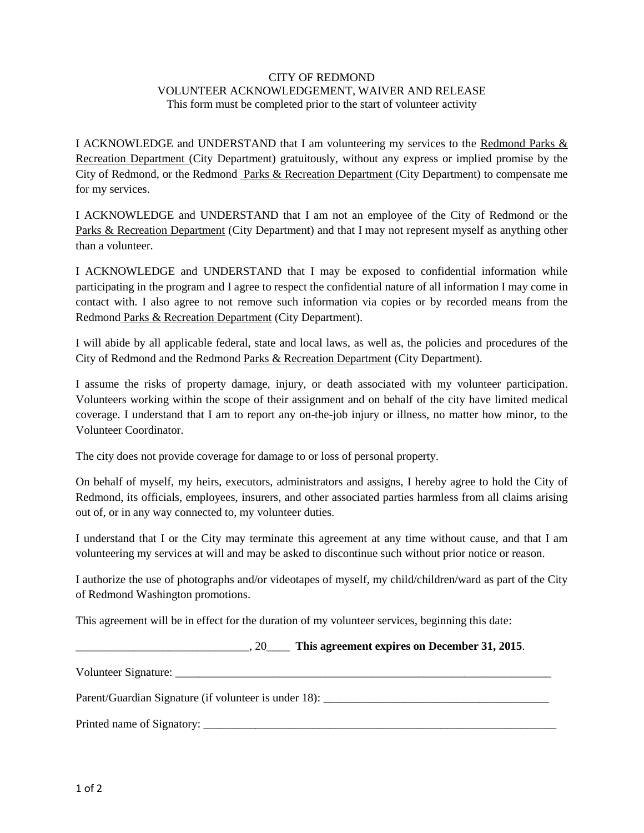## CITY OF REDMOND VOLUNTEER ACKNOWLEDGEMENT, WAIVER AND RELEASE This form must be completed prior to the start of volunteer activity

I ACKNOWLEDGE and UNDERSTAND that I am volunteering my services to the Redmond Parks & Recreation Department (City Department) gratuitously, without any express or implied promise by the City of Redmond, or the Redmond Parks & Recreation Department (City Department) to compensate me for my services.

I ACKNOWLEDGE and UNDERSTAND that I am not an employee of the City of Redmond or the Parks & Recreation Department (City Department) and that I may not represent myself as anything other than a volunteer.

I ACKNOWLEDGE and UNDERSTAND that I may be exposed to confidential information while participating in the program and I agree to respect the confidential nature of all information I may come in contact with. I also agree to not remove such information via copies or by recorded means from the Redmond Parks & Recreation Department (City Department).

I will abide by all applicable federal, state and local laws, as well as, the policies and procedures of the City of Redmond and the Redmond Parks & Recreation Department (City Department).

I assume the risks of property damage, injury, or death associated with my volunteer participation. Volunteers working within the scope of their assignment and on behalf of the city have limited medical coverage. I understand that I am to report any on-the-job injury or illness, no matter how minor, to the Volunteer Coordinator.

The city does not provide coverage for damage to or loss of personal property.

On behalf of myself, my heirs, executors, administrators and assigns, I hereby agree to hold the City of Redmond, its officials, employees, insurers, and other associated parties harmless from all claims arising out of, or in any way connected to, my volunteer duties.

I understand that I or the City may terminate this agreement at any time without cause, and that I am volunteering my services at will and may be asked to discontinue such without prior notice or reason.

I authorize the use of photographs and/or videotapes of myself, my child/children/ward as part of the City of Redmond Washington promotions.

This agreement will be in effect for the duration of my volunteer services, beginning this date:

| $, 20$ This agreement expires on December 31, 2015.                              |
|----------------------------------------------------------------------------------|
|                                                                                  |
| Parent/Guardian Signature (if volunteer is under 18): __________________________ |
| Printed name of Signatory:                                                       |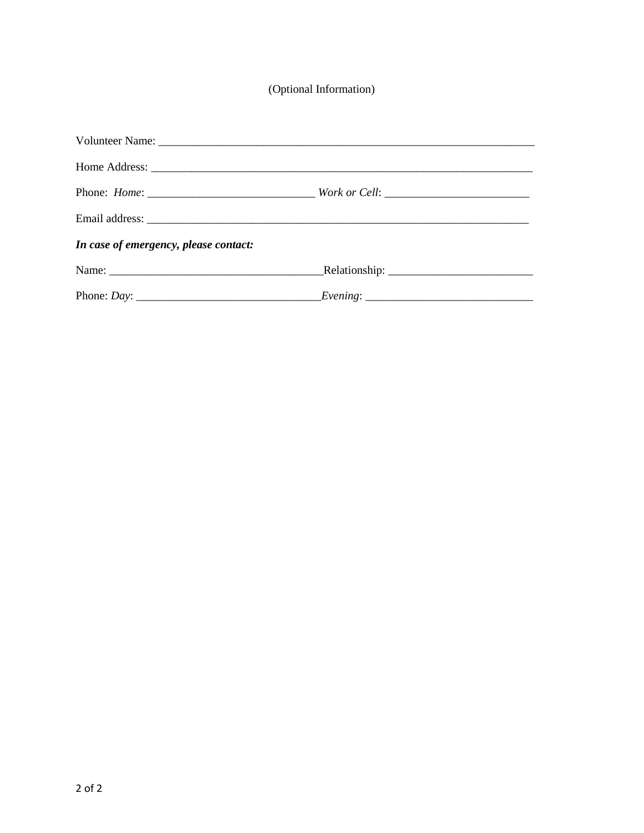## (Optional Information)

| In case of emergency, please contact: |  |  |
|---------------------------------------|--|--|
|                                       |  |  |
|                                       |  |  |